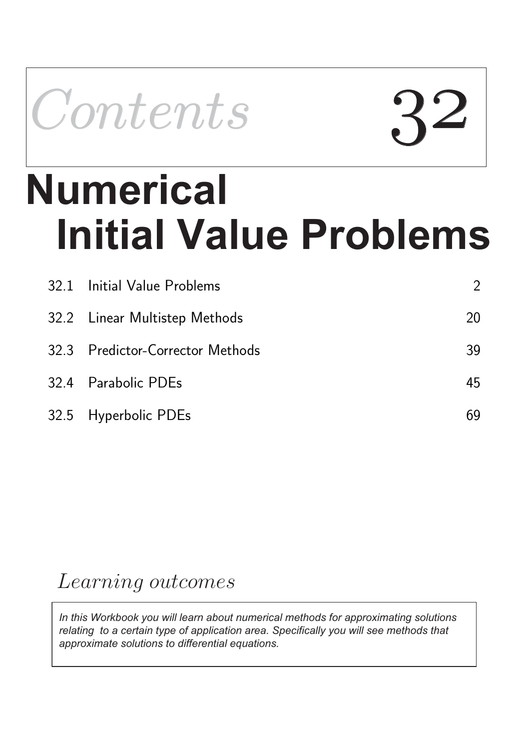

# **Numerical Initial Value Problems**

| 32.1 Initial Value Problems      | $\mathcal{L}$ |
|----------------------------------|---------------|
| 32.2 Linear Multistep Methods    | 20            |
| 32.3 Predictor-Corrector Methods | 39            |
| 32.4 Parabolic PDEs              | 45            |
| 32.5 Hyperbolic PDEs             | 69            |

## Learning outcomes

*In this Workbook you will learn about numerical methods for approximating solutions relating to a certain type of application area. Specifically you will see methods that approximate solutions to differential equations.*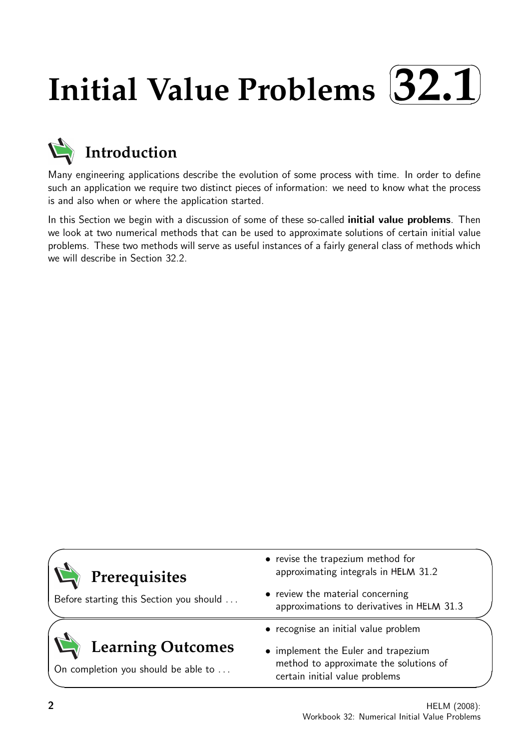#### **Initial Value Problems**  $\sqrt{2}$ ✒ **32.1**✑ ✏



Many engineering applications describe the evolution of some process with time. In order to define such an application we require two distinct pieces of information: we need to know what the process is and also when or where the application started.

In this Section we begin with a discussion of some of these so-called *initial value problems*. Then we look at two numerical methods that can be used to approximate solutions of certain initial value problems. These two methods will serve as useful instances of a fairly general class of methods which we will describe in Section 32.2.

| Prerequisites                                                   | • revise the trapezium method for<br>approximating integrals in HELM 31.2                                       |  |
|-----------------------------------------------------------------|-----------------------------------------------------------------------------------------------------------------|--|
| Before starting this Section you should                         | • review the material concerning<br>approximations to derivatives in HELM 31.3                                  |  |
|                                                                 | • recognise an initial value problem                                                                            |  |
| <b>Learning Outcomes</b><br>On completion you should be able to | • implement the Euler and trapezium<br>method to approximate the solutions of<br>certain initial value problems |  |

✧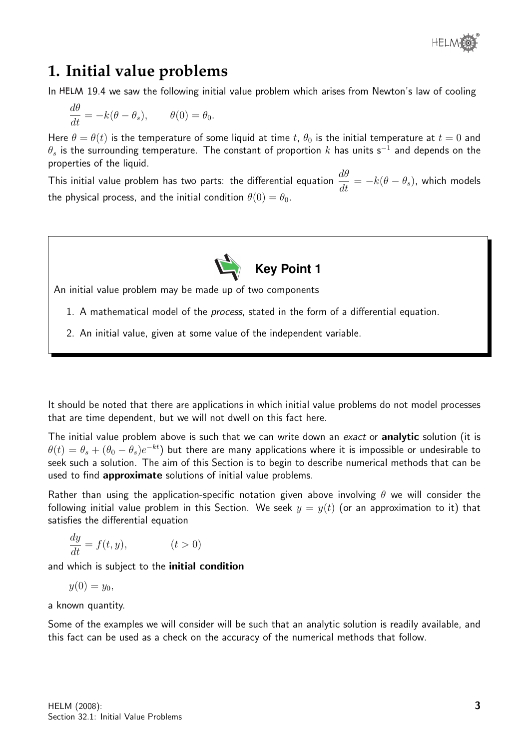

### **1. Initial value problems**

In HELM 19.4 we saw the following initial value problem which arises from Newton's law of cooling

$$
\frac{d\theta}{dt} = -k(\theta - \theta_s), \qquad \theta(0) = \theta_0.
$$

Here  $\theta = \theta(t)$  is the temperature of some liquid at time t,  $\theta_0$  is the initial temperature at  $t = 0$  and  $\theta_s$  is the surrounding temperature. The constant of proportion  $k$  has units s $^{-1}$  and depends on the properties of the liquid.

This initial value problem has two parts: the differential equation  $\frac{d\theta}{dt} = -k(\theta - \theta_s)$ , which models the physical process, and the initial condition  $\theta(0) = \theta_0$ .



An initial value problem may be made up of two components

- 1. A mathematical model of the process, stated in the form of a differential equation.
- 2. An initial value, given at some value of the independent variable.

It should be noted that there are applications in which initial value problems do not model processes that are time dependent, but we will not dwell on this fact here.

The initial value problem above is such that we can write down an exact or **analytic** solution (it is  $\theta(t)=\theta_s+(\theta_0-\theta_s)e^{-kt})$  but there are many applications where it is impossible or undesirable to seek such a solution. The aim of this Section is to begin to describe numerical methods that can be used to find approximate solutions of initial value problems.

Rather than using the application-specific notation given above involving  $\theta$  we will consider the following initial value problem in this Section. We seek  $y = y(t)$  (or an approximation to it) that satisfies the differential equation

$$
\frac{dy}{dt} = f(t, y), \qquad (t > 0)
$$

and which is subject to the initial condition

$$
y(0)=y_0,
$$

a known quantity.

Some of the examples we will consider will be such that an analytic solution is readily available, and this fact can be used as a check on the accuracy of the numerical methods that follow.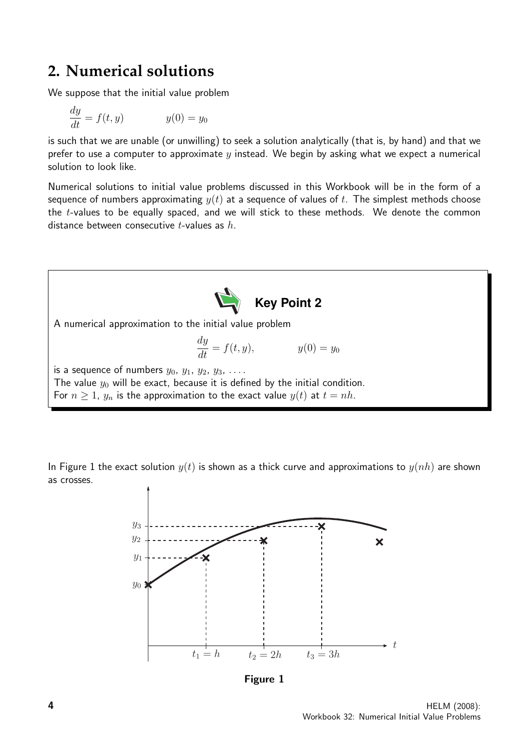#### **2. Numerical solutions**

We suppose that the initial value problem

$$
\frac{dy}{dt} = f(t, y) \qquad \qquad y(0) = y_0
$$

is such that we are unable (or unwilling) to seek a solution analytically (that is, by hand) and that we prefer to use a computer to approximate  $y$  instead. We begin by asking what we expect a numerical solution to look like.

Numerical solutions to initial value problems discussed in this Workbook will be in the form of a sequence of numbers approximating  $y(t)$  at a sequence of values of t. The simplest methods choose the t-values to be equally spaced, and we will stick to these methods. We denote the common distance between consecutive  $t$ -values as  $h$ .



In Figure 1 the exact solution  $y(t)$  is shown as a thick curve and approximations to  $y(nh)$  are shown as crosses.



Figure 1

4 HELM (2008): Workbook 32: Numerical Initial Value Problems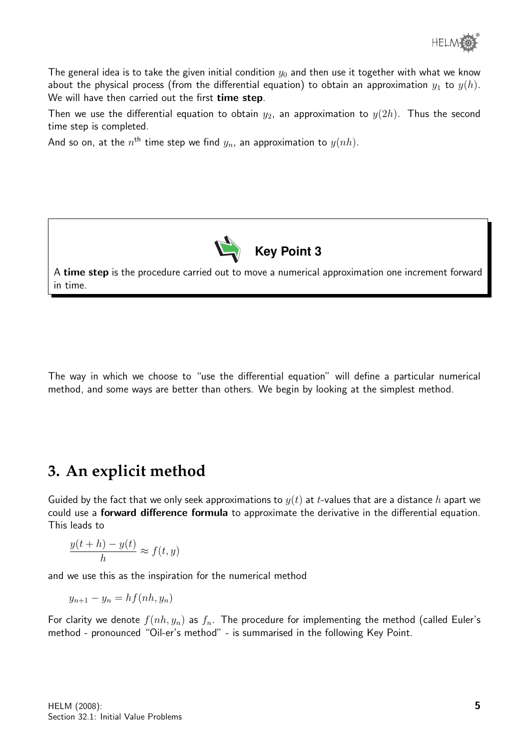

The general idea is to take the given initial condition  $y_0$  and then use it together with what we know about the physical process (from the differential equation) to obtain an approximation  $y_1$  to  $y(h)$ . We will have then carried out the first time step.

Then we use the differential equation to obtain  $y_2$ , an approximation to  $y(2h)$ . Thus the second time step is completed.

And so on, at the  $n^{\text{th}}$  time step we find  $y_n$ , an approximation to  $y(nh).$ 



A time step is the procedure carried out to move a numerical approximation one increment forward in time.

The way in which we choose to "use the differential equation" will define a particular numerical method, and some ways are better than others. We begin by looking at the simplest method.

#### **3. An explicit method**

Guided by the fact that we only seek approximations to  $y(t)$  at t-values that are a distance h apart we could use a forward difference formula to approximate the derivative in the differential equation. This leads to

$$
\frac{y(t+h) - y(t)}{h} \approx f(t, y)
$$

and we use this as the inspiration for the numerical method

$$
y_{n+1} - y_n = h f(nh, y_n)
$$

For clarity we denote  $f(nh, y_n)$  as  $f_n$ . The procedure for implementing the method (called Euler's method - pronounced "Oil-er's method" - is summarised in the following Key Point.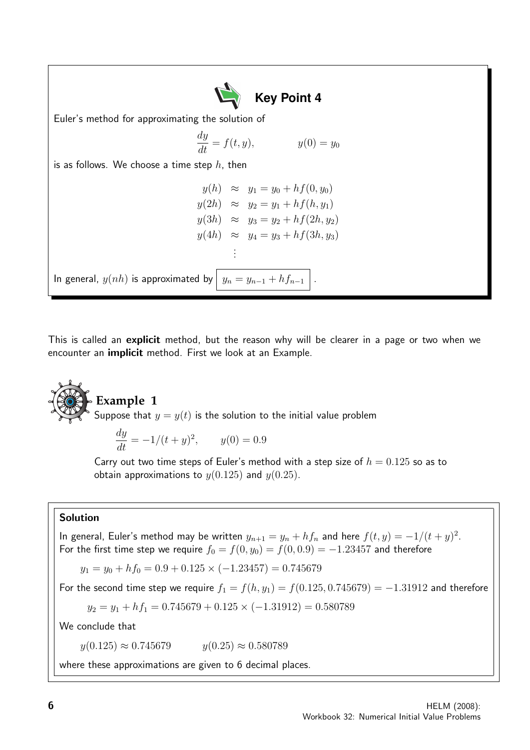

This is called an explicit method, but the reason why will be clearer in a page or two when we encounter an implicit method. First we look at an Example.

## **Example 1** Suppose that  $y = y(t)$  is the solution to the initial value problem

$$
\frac{dy}{dt} = -1/(t+y)^2, \qquad y(0) = 0.9
$$

Carry out two time steps of Euler's method with a step size of  $h = 0.125$  so as to obtain approximations to  $y(0.125)$  and  $y(0.25)$ .

#### Solution

In general, Euler's method may be written  $y_{n+1} = y_n + h f_n$  and here  $f(t,y) = -1/(t+y)^2$ . For the first time step we require  $f_0 = f(0, y_0) = f(0, 0.9) = -1.23457$  and therefore

 $y_1 = y_0 + h f_0 = 0.9 + 0.125 \times (-1.23457) = 0.745679$ 

For the second time step we require  $f_1 = f(h, y_1) = f(0.125, 0.745679) = -1.31912$  and therefore

 $y_2 = y_1 + hf_1 = 0.745679 + 0.125 \times (-1.31912) = 0.580789$ 

We conclude that

 $y(0.125) \approx 0.745679$   $y(0.25) \approx 0.580789$ 

where these approximations are given to 6 decimal places.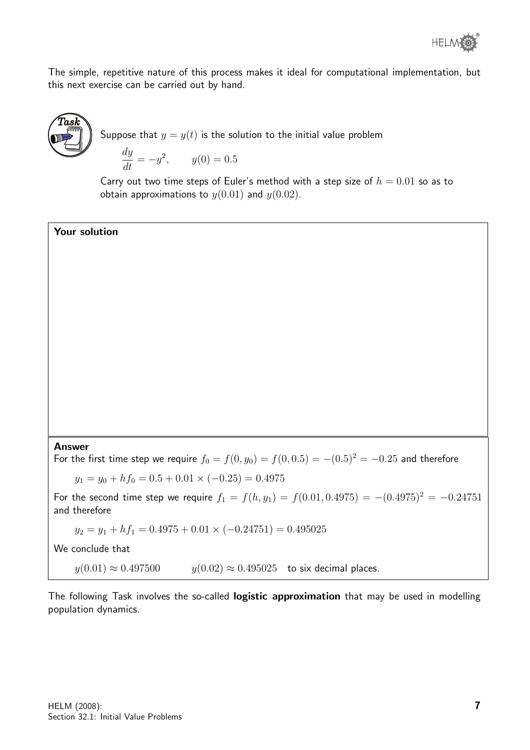The simple, repetitive nature of this process makes it ideal for computational implementation, but this next exercise can be carried out by hand.



Suppose that  $y = y(t)$  is the solution to the initial value problem

$$
\frac{dy}{dt} = -y^2, \qquad y(0) = 0.5
$$

Carry out two time steps of Euler's method with a step size of  $h = 0.01$  so as to obtain approximations to  $y(0.01)$  and  $y(0.02)$ .

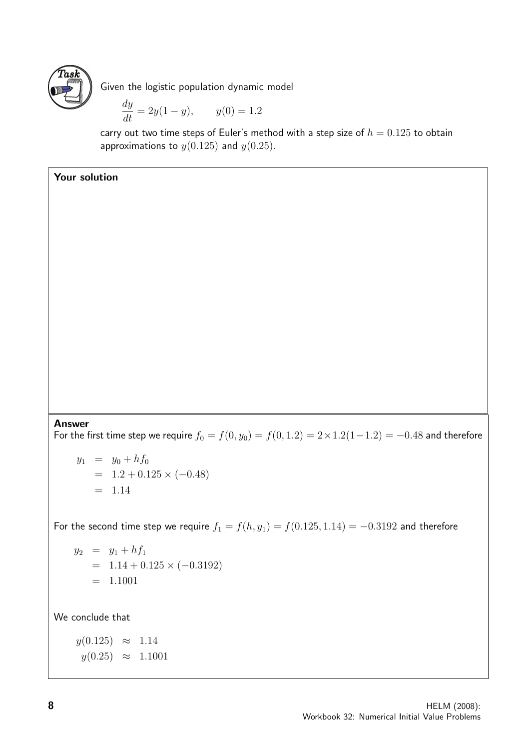

Given the logistic population dynamic model

$$
\frac{dy}{dt} = 2y(1 - y), \qquad y(0) = 1.2
$$

carry out two time steps of Euler's method with a step size of  $h = 0.125$  to obtain approximations to  $y(0.125)$  and  $y(0.25)$ .

#### Your solution

#### Answer

For the first time step we require  $f_0 = f(0, y_0) = f(0, 1.2) = 2 \times 1.2(1 - 1.2) = -0.48$  and therefore

$$
y_1 = y_0 + h f_0
$$
  
= 1.2 + 0.125 × (-0.48)  
= 1.14

For the second time step we require  $f_1 = f(h, y_1) = f(0.125, 1.14) = -0.3192$  and therefore

$$
y_2 = y_1 + h f_1
$$
  
= 1.14 + 0.125 × (-0.3192)  
= 1.1001

We conclude that

 $y(0.125) \approx 1.14$  $y(0.25) \approx 1.1001$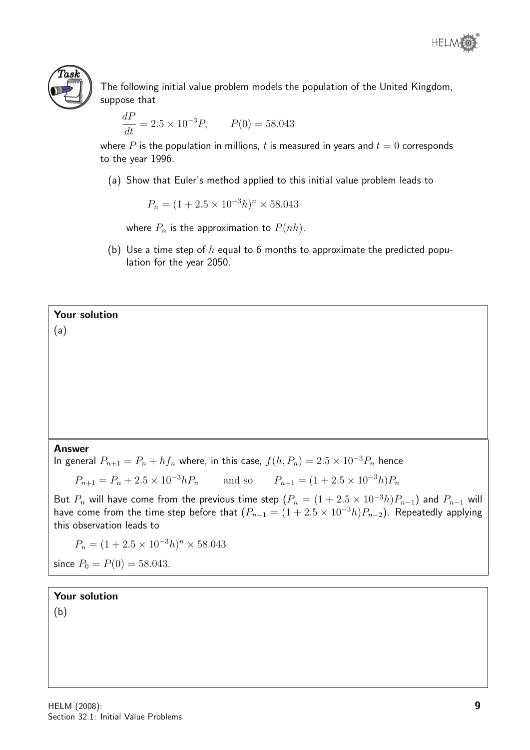



The following initial value problem models the population of the United Kingdom, suppose that

$$
\frac{dP}{dt} = 2.5 \times 10^{-3} P, \qquad P(0) = 58.043
$$

where P is the population in millions, t is measured in years and  $t = 0$  corresponds to the year 1996.

(a) Show that Euler's method applied to this initial value problem leads to

$$
P_n = (1 + 2.5 \times 10^{-3} h)^n \times 58.043
$$

where  $P_n$  is the approximation to  $P(nh)$ .

(b) Use a time step of h equal to 6 months to approximate the predicted population for the year 2050.

Your solution (a)

#### Answer

In general  $P_{n+1} = P_n + hf_n$  where, in this case,  $f(h, P_n) = 2.5 \times 10^{-3} P_n$  hence

 $P_{n+1} = P_n + 2.5 \times 10^{-3} h P_n$  and so  $P_{n+1} = (1 + 2.5 \times 10^{-3} h) P_n$ 

But  $P_n$  will have come from the previous time step  $(P_n = (1 + 2.5 \times 10^{-3} h)P_{n-1})$  and  $P_{n-1}$  will have come from the time step before that  $(P_{n-1} = (1 + 2.5 \times 10^{-3} h)P_{n-2})$ . Repeatedly applying this observation leads to

 $P_n = (1 + 2.5 \times 10^{-3} h)^n \times 58.043$ since  $P_0 = P(0) = 58.043$ .

#### Your solution

(b)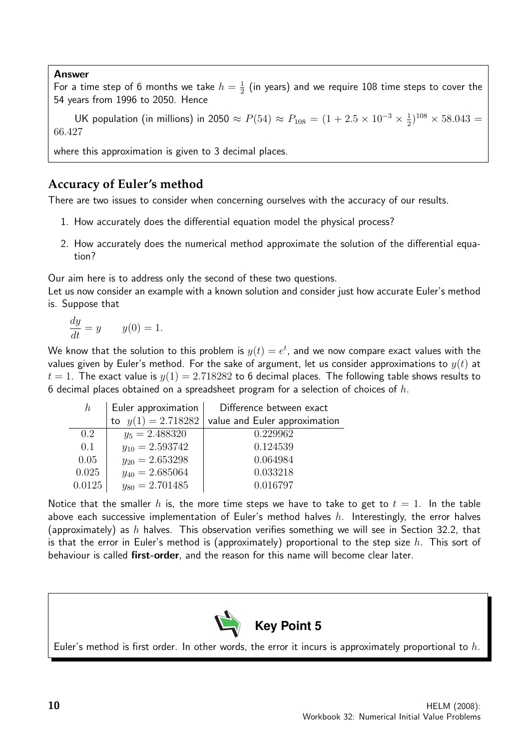#### Answer

For a time step of 6 months we take  $h=\frac{1}{2}$  $\frac{1}{2}$  (in years) and we require 108 time steps to cover the 54 years from 1996 to 2050. Hence

UK population (in millions) in 2050  $\approx P(54) \approx P_{108} = (1 + 2.5 \times 10^{-3} \times \frac{1}{2})$  $(\frac{1}{2})^{108} \times 58.043 =$ 66.427

where this approximation is given to 3 decimal places.

#### **Accuracy of Euler's method**

There are two issues to consider when concerning ourselves with the accuracy of our results.

- 1. How accurately does the differential equation model the physical process?
- 2. How accurately does the numerical method approximate the solution of the differential equation?

Our aim here is to address only the second of these two questions.

Let us now consider an example with a known solution and consider just how accurate Euler's method is. Suppose that

$$
\frac{dy}{dt} = y \qquad y(0) = 1.
$$

We know that the solution to this problem is  $y(t)=e^t.$  and we now compare exact values with the values given by Euler's method. For the sake of argument, let us consider approximations to  $y(t)$  at  $t = 1$ . The exact value is  $y(1) = 2.718282$  to 6 decimal places. The following table shows results to 6 decimal places obtained on a spreadsheet program for a selection of choices of  $h$ .

| $\hbar$ | Euler approximation  | Difference between exact      |
|---------|----------------------|-------------------------------|
|         | to $y(1) = 2.718282$ | value and Euler approximation |
| 0.2     | $y_5 = 2.488320$     | 0.229962                      |
| 0.1     | $y_{10} = 2.593742$  | 0.124539                      |
| 0.05    | $y_{20} = 2.653298$  | 0.064984                      |
| 0.025   | $y_{40} = 2.685064$  | 0.033218                      |
| 0.0125  | $y_{80} = 2.701485$  | 0.016797                      |

Notice that the smaller h is, the more time steps we have to take to get to  $t = 1$ . In the table above each successive implementation of Euler's method halves  $h$ . Interestingly, the error halves (approximately) as  $h$  halves. This observation verifies something we will see in Section 32.2, that is that the error in Euler's method is (approximately) proportional to the step size h. This sort of behaviour is called **first-order**, and the reason for this name will become clear later.



Euler's method is first order. In other words, the error it incurs is approximately proportional to  $h$ .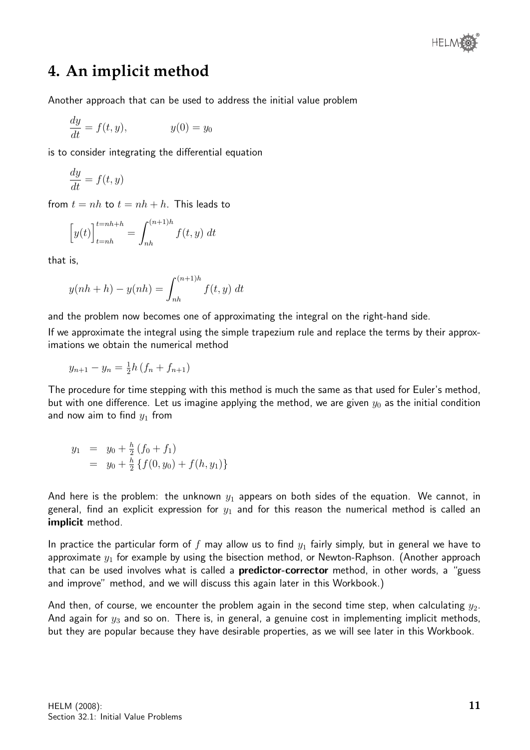

### **4. An implicit method**

Another approach that can be used to address the initial value problem

$$
\frac{dy}{dt} = f(t, y), \qquad y(0) = y_0
$$

is to consider integrating the differential equation

$$
\frac{dy}{dt} = f(t, y)
$$

from  $t = nh$  to  $t = nh + h$ . This leads to

$$
\left[y(t)\right]_{t=nh}^{t=nh+h} = \int_{nh}^{(n+1)h} f(t,y) dt
$$

that is,

$$
y(nh + h) - y(nh) = \int_{nh}^{(n+1)h} f(t, y) dt
$$

and the problem now becomes one of approximating the integral on the right-hand side.

If we approximate the integral using the simple trapezium rule and replace the terms by their approximations we obtain the numerical method

$$
y_{n+1} - y_n = \frac{1}{2}h(f_n + f_{n+1})
$$

The procedure for time stepping with this method is much the same as that used for Euler's method, but with one difference. Let us imagine applying the method, we are given  $y_0$  as the initial condition and now aim to find  $y_1$  from

$$
y_1 = y_0 + \frac{h}{2} (f_0 + f_1)
$$
  
=  $y_0 + \frac{h}{2} \{f(0, y_0) + f(h, y_1)\}$ 

And here is the problem: the unknown  $y_1$  appears on both sides of the equation. We cannot, in general, find an explicit expression for  $y_1$  and for this reason the numerical method is called an implicit method.

In practice the particular form of f may allow us to find  $y_1$  fairly simply, but in general we have to approximate  $y_1$  for example by using the bisection method, or Newton-Raphson. (Another approach that can be used involves what is called a **predictor-corrector** method, in other words, a "guess and improve" method, and we will discuss this again later in this Workbook.)

And then, of course, we encounter the problem again in the second time step, when calculating  $y_2$ . And again for  $y_3$  and so on. There is, in general, a genuine cost in implementing implicit methods, but they are popular because they have desirable properties, as we will see later in this Workbook.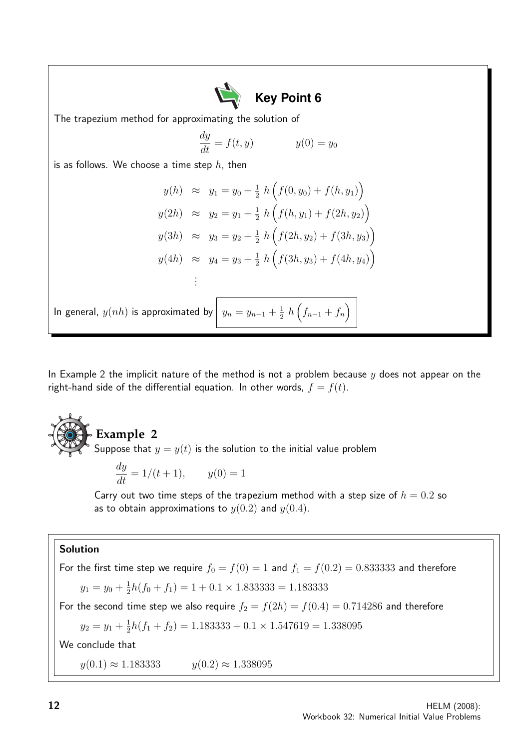

In Example 2 the implicit nature of the method is not a problem because  $y$  does not appear on the right-hand side of the differential equation. In other words,  $f = f(t)$ .

## **Example 2** Suppose that  $y = y(t)$  is the solution to the initial value problem

$$
\frac{dy}{dt} = 1/(t+1), \qquad y(0) = 1
$$

Carry out two time steps of the trapezium method with a step size of  $h = 0.2$  so as to obtain approximations to  $y(0.2)$  and  $y(0.4)$ .

#### Solution

For the first time step we require  $f_0 = f(0) = 1$  and  $f_1 = f(0.2) = 0.833333$  and therefore

$$
y_1 = y_0 + \frac{1}{2}h(f_0 + f_1) = 1 + 0.1 \times 1.833333 = 1.1833333
$$

For the second time step we also require  $f_2 = f(2h) = f(0.4) = 0.714286$  and therefore

$$
y_2 = y_1 + \frac{1}{2}h(f_1 + f_2) = 1.183333 + 0.1 \times 1.547619 = 1.338095
$$

We conclude that

 $y(0.1) \approx 1.183333$   $y(0.2) \approx 1.338095$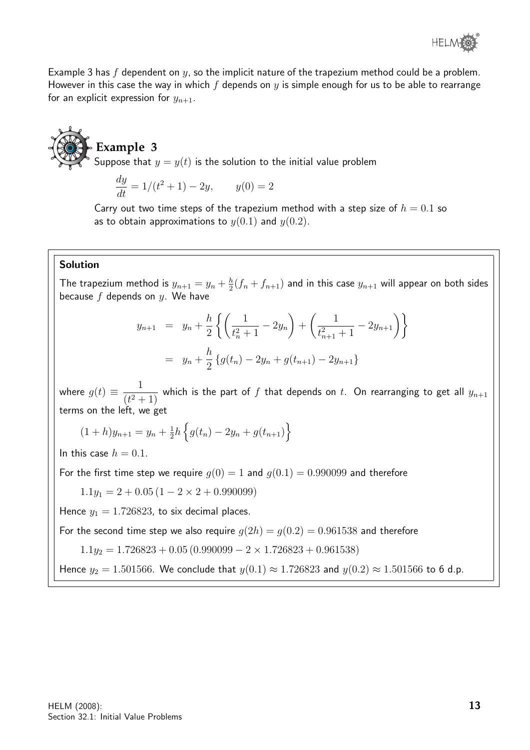Example 3 has f dependent on  $y$ , so the implicit nature of the trapezium method could be a problem. However in this case the way in which f depends on  $y$  is simple enough for us to be able to rearrange for an explicit expression for  $y_{n+1}$ .



**Example 3**

Suppose that  $y = y(t)$  is the solution to the initial value problem

$$
\frac{dy}{dt} = 1/(t^2 + 1) - 2y, \qquad y(0) = 2
$$

Carry out two time steps of the trapezium method with a step size of  $h = 0.1$  so as to obtain approximations to  $y(0.1)$  and  $y(0.2)$ .

#### Solution

The trapezium method is  $y_{n+1} = y_n + \frac{h}{2}$  $\frac{h}{2}(f_n + f_{n+1})$  and in this case  $y_{n+1}$  will appear on both sides because  $f$  depends on  $y$ . We have

$$
y_{n+1} = y_n + \frac{h}{2} \left\{ \left( \frac{1}{t_n^2 + 1} - 2y_n \right) + \left( \frac{1}{t_{n+1}^2 + 1} - 2y_{n+1} \right) \right\}
$$
  
=  $y_n + \frac{h}{2} \left\{ g(t_n) - 2y_n + g(t_{n+1}) - 2y_{n+1} \right\}$ 

where  $g(t) \equiv \frac{1}{\sqrt{t^2 - t^2}}$  $\frac{1}{(t^2+1)}$  which is the part of  $f$  that depends on  $t$ . On rearranging to get all  $y_{n+1}$ terms on the left, we get

$$
(1+h)y_{n+1} = y_n + \frac{1}{2}h\left\{g(t_n) - 2y_n + g(t_{n+1})\right\}
$$

In this case  $h = 0.1$ .

For the first time step we require  $q(0) = 1$  and  $q(0.1) = 0.990099$  and therefore

 $1.1y_1 = 2 + 0.05(1 - 2 \times 2 + 0.990099)$ 

Hence  $y_1 = 1.726823$ , to six decimal places.

For the second time step we also require  $g(2h) = g(0.2) = 0.961538$  and therefore

 $1.1y_2 = 1.726823 + 0.05(0.990099 - 2 \times 1.726823 + 0.961538)$ 

Hence  $y_2 = 1.501566$ . We conclude that  $y(0.1) \approx 1.726823$  and  $y(0.2) \approx 1.501566$  to 6 d.p.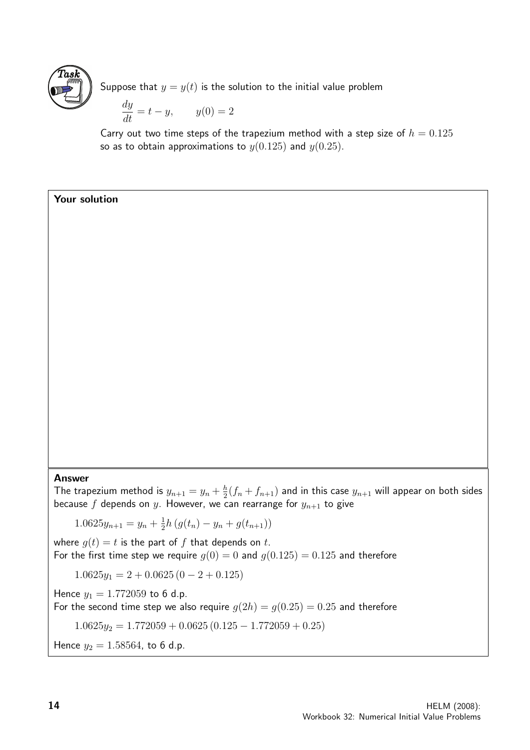

Suppose that  $y = y(t)$  is the solution to the initial value problem

$$
\frac{dy}{dt} = t - y, \qquad y(0) = 2
$$

Carry out two time steps of the trapezium method with a step size of  $h = 0.125$ so as to obtain approximations to  $y(0.125)$  and  $y(0.25)$ .

#### Your solution

Answer

The trapezium method is  $y_{n+1} = y_n + \frac{h}{2}$  $\frac{h}{2}(f_n + f_{n+1})$  and in this case  $y_{n+1}$  will appear on both sides because f depends on y. However, we can rearrange for  $y_{n+1}$  to give

 $1.0625y_{n+1} = y_n + \frac{1}{2}$  $\frac{1}{2}h(g(t_n)-y_n+g(t_{n+1}))$ 

where  $q(t) = t$  is the part of f that depends on t. For the first time step we require  $g(0) = 0$  and  $g(0.125) = 0.125$  and therefore

 $1.0625y_1 = 2 + 0.0625(0 - 2 + 0.125)$ 

Hence  $y_1 = 1.772059$  to 6 d.p. For the second time step we also require  $g(2h) = g(0.25) = 0.25$  and therefore

 $1.0625y_2 = 1.772059 + 0.0625(0.125 - 1.772059 + 0.25)$ 

Hence  $y_2 = 1.58564$ , to 6 d.p.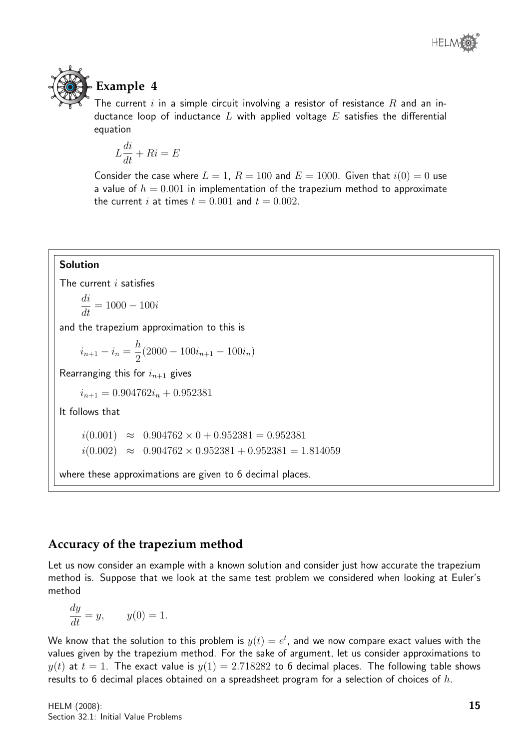

#### **Example 4**

The current i in a simple circuit involving a resistor of resistance R and an inductance loop of inductance  $L$  with applied voltage  $E$  satisfies the differential equation

$$
L\frac{di}{dt} + Ri = E
$$

Consider the case where  $L = 1$ ,  $R = 100$  and  $E = 1000$ . Given that  $i(0) = 0$  use a value of  $h = 0.001$  in implementation of the trapezium method to approximate the current i at times  $t = 0.001$  and  $t = 0.002$ .

#### Solution

The current  $i$  satisfies

 $\frac{di}{dt} = 1000 - 100i$ 

and the trapezium approximation to this is

$$
i_{n+1} - i_n = \frac{h}{2}(2000 - 100i_{n+1} - 100i_n)
$$

Rearranging this for  $i_{n+1}$  gives

 $i_{n+1} = 0.904762i_n + 0.952381$ 

It follows that

 $i(0.001) \approx 0.904762 \times 0 + 0.952381 = 0.952381$ 

 $i(0.002) \approx 0.904762 \times 0.952381 + 0.952381 = 1.814059$ 

where these approximations are given to 6 decimal places.

#### **Accuracy of the trapezium method**

Let us now consider an example with a known solution and consider just how accurate the trapezium method is. Suppose that we look at the same test problem we considered when looking at Euler's method

dy  $\frac{dy}{dt} = y, \qquad y(0) = 1.$ 

We know that the solution to this problem is  $y(t)=e^t.$  and we now compare exact values with the values given by the trapezium method. For the sake of argument, let us consider approximations to  $y(t)$  at  $t = 1$ . The exact value is  $y(1) = 2.718282$  to 6 decimal places. The following table shows results to 6 decimal places obtained on a spreadsheet program for a selection of choices of  $h$ .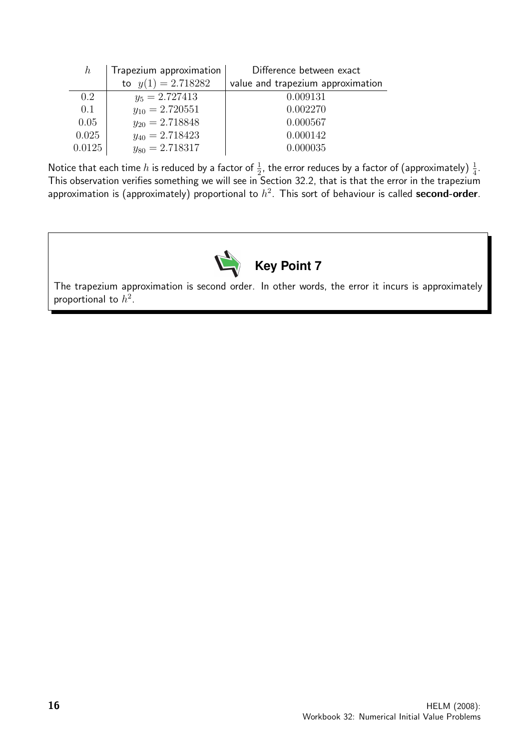| $\hbar$ | Trapezium approximation | Difference between exact          |
|---------|-------------------------|-----------------------------------|
|         | to $y(1) = 2.718282$    | value and trapezium approximation |
| 0.2     | $y_5 = 2.727413$        | 0.009131                          |
| 0.1     | $y_{10} = 2.720551$     | 0.002270                          |
| 0.05    | $y_{20} = 2.718848$     | 0.000567                          |
| 0.025   | $y_{40} = 2.718423$     | 0.000142                          |
| 0.0125  | $y_{80} = 2.718317$     | 0.000035                          |

Notice that each time  $h$  is reduced by a factor of  $\frac{1}{2}$ , the error reduces by a factor of (approximately)  $\frac{1}{4}$ . This observation verifies something we will see in Section 32.2, that is that the error in the trapezium approximation is (approximately) proportional to  $h^2$ . This sort of behaviour is called second-order.



The trapezium approximation is second order. In other words, the error it incurs is approximately proportional to  $h^2$ .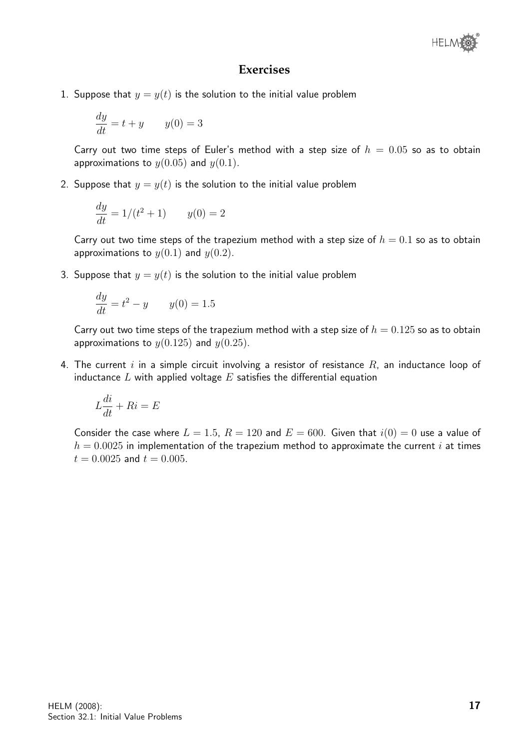#### **Exercises**

1. Suppose that  $y = y(t)$  is the solution to the initial value problem

$$
\frac{dy}{dt} = t + y \qquad y(0) = 3
$$

Carry out two time steps of Euler's method with a step size of  $h = 0.05$  so as to obtain approximations to  $y(0.05)$  and  $y(0.1)$ .

2. Suppose that  $y = y(t)$  is the solution to the initial value problem

$$
\frac{dy}{dt} = 1/(t^2 + 1) \qquad y(0) = 2
$$

Carry out two time steps of the trapezium method with a step size of  $h = 0.1$  so as to obtain approximations to  $y(0.1)$  and  $y(0.2)$ .

3. Suppose that  $y = y(t)$  is the solution to the initial value problem

$$
\frac{dy}{dt} = t^2 - y \qquad y(0) = 1.5
$$

Carry out two time steps of the trapezium method with a step size of  $h = 0.125$  so as to obtain approximations to  $y(0.125)$  and  $y(0.25)$ .

4. The current  $i$  in a simple circuit involving a resistor of resistance  $R$ , an inductance loop of inductance  $L$  with applied voltage  $E$  satisfies the differential equation

$$
L\frac{di}{dt} + Ri = E
$$

Consider the case where  $L = 1.5$ ,  $R = 120$  and  $E = 600$ . Given that  $i(0) = 0$  use a value of  $h = 0.0025$  in implementation of the trapezium method to approximate the current i at times  $t = 0.0025$  and  $t = 0.005$ .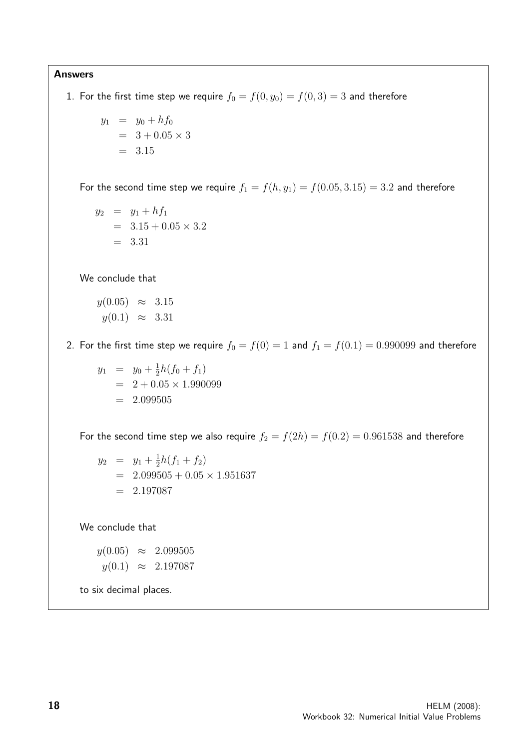#### Answers

1. For the first time step we require  $f_0 = f(0, y_0) = f(0, 3) = 3$  and therefore

$$
y_1 = y_0 + h f_0
$$
  
= 3 + 0.05 × 3  
= 3.15

For the second time step we require  $f_1 = f(h, y_1) = f(0.05, 3.15) = 3.2$  and therefore

$$
y_2 = y_1 + h f_1
$$
  
= 3.15 + 0.05 × 3.2  
= 3.31

We conclude that

 $y(0.05) \approx 3.15$  $y(0.1) \approx 3.31$ 

2. For the first time step we require  $f_0 = f(0) = 1$  and  $f_1 = f(0.1) = 0.990099$  and therefore

 $y_1 = y_0 + \frac{1}{2}$  $\frac{1}{2}h(f_0 + f_1)$  $= 2 + 0.05 \times 1.990099$  $= 2.099505$ 

For the second time step we also require  $f_2 = f(2h) = f(0.2) = 0.961538$  and therefore

$$
y_2 = y_1 + \frac{1}{2}h(f_1 + f_2)
$$
  
= 2.099505 + 0.05 × 1.951637  
= 2.197087

We conclude that

 $y(0.05) \approx 2.099505$  $y(0.1) \approx 2.197087$ 

to six decimal places.